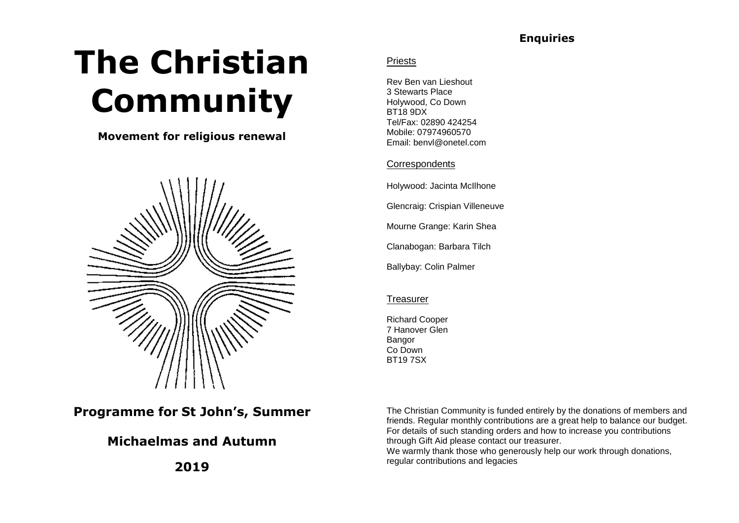## **Enquiries**

# **The Christian Community**

## **Movement for religious renewal**



# **Programme for St John's, Summer**

# **Michaelmas and Autumn**

**2019**

### Priests

Rev Ben van Lieshout 3 Stewarts Place Holywood, Co Down BT18 9DX Tel/Fax: 02890 424254 Mobile: 07974960570 Email: benvl@onetel.com

#### **Correspondents**

Holywood: Jacinta McIlhone

Glencraig: Crispian Villeneuve

Mourne Grange: Karin Shea

Clanabogan: Barbara Tilch

Ballybay: Colin Palmer

#### **Treasurer**

Richard Cooper 7 Hanover Glen Bangor Co Down BT19 7SX

The Christian Community is funded entirely by the donations of members and friends. Regular monthly contributions are a great help to balance our budget. For details of such standing orders and how to increase you contributions through Gift Aid please contact our treasurer.

We warmly thank those who generously help our work through donations, regular contributions and legacies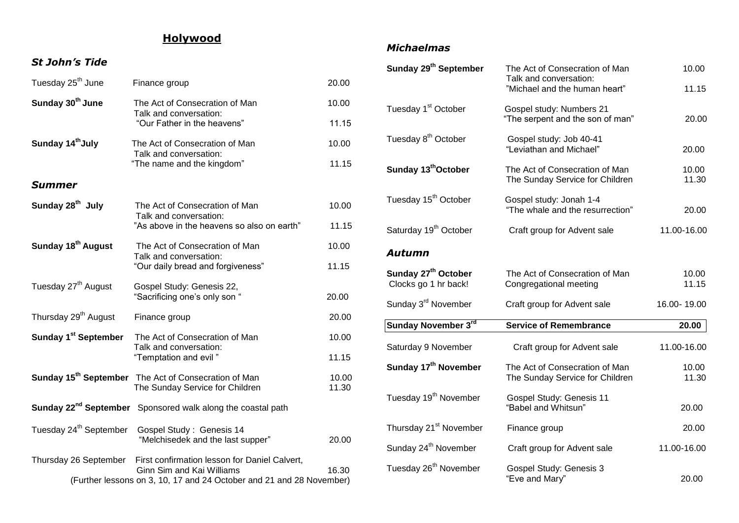# **Holywood**

### *St John's Tide*

| Tuesday 25 <sup>th</sup> June                                        | Finance group                                                                                       | 20.00          |  |
|----------------------------------------------------------------------|-----------------------------------------------------------------------------------------------------|----------------|--|
| Sunday 30 <sup>th</sup> June                                         | The Act of Consecration of Man<br>Talk and conversation:                                            | 10.00          |  |
|                                                                      | "Our Father in the heavens"                                                                         | 11.15          |  |
| Sunday 14th July                                                     | The Act of Consecration of Man<br>Talk and conversation:                                            | 10.00          |  |
|                                                                      | "The name and the kingdom"                                                                          | 11.15          |  |
| <b>Summer</b>                                                        |                                                                                                     |                |  |
| Sunday 28 <sup>th</sup> July                                         | The Act of Consecration of Man<br>Talk and conversation:                                            | 10.00          |  |
|                                                                      | "As above in the heavens so also on earth"                                                          | 11.15          |  |
| Sunday 18 <sup>th</sup> August                                       | The Act of Consecration of Man<br>Talk and conversation:                                            | 10.00          |  |
|                                                                      | "Our daily bread and forgiveness"                                                                   | 11.15          |  |
| Tuesday 27 <sup>th</sup> August                                      | Gospel Study: Genesis 22,<br>"Sacrificing one's only son "                                          | 20.00          |  |
| Thursday 29 <sup>th</sup> August                                     | Finance group                                                                                       | 20.00          |  |
| Sunday 1 <sup>st</sup> September                                     | The Act of Consecration of Man<br>Talk and conversation:                                            | 10.00          |  |
|                                                                      | "Temptation and evil"                                                                               | 11.15          |  |
|                                                                      | Sunday 15 <sup>th</sup> September The Act of Consecration of Man<br>The Sunday Service for Children | 10.00<br>11.30 |  |
|                                                                      | Sunday 22 <sup>nd</sup> September Sponsored walk along the coastal path                             |                |  |
| Tuesday 24 <sup>th</sup> September                                   | Gospel Study: Genesis 14<br>"Melchisedek and the last supper"                                       | 20.00          |  |
| Thursday 26 September                                                | First confirmation lesson for Daniel Calvert,<br>Ginn Sim and Kai Williams                          | 16.30          |  |
| (Further lessons on 3, 10, 17 and 24 October and 21 and 28 November) |                                                                                                     |                |  |

## *Michaelmas*

| Sunday 29 <sup>th</sup> September                       | The Act of Consecration of Man<br>Talk and conversation:<br>"Michael and the human heart" | 10.00<br>11.15 |
|---------------------------------------------------------|-------------------------------------------------------------------------------------------|----------------|
| Tuesday 1 <sup>st</sup> October                         | Gospel study: Numbers 21<br>"The serpent and the son of man"                              | 20.00          |
| Tuesday 8 <sup>th</sup> October                         | Gospel study: Job 40-41<br>"Leviathan and Michael"                                        | 20.00          |
| Sunday 13 <sup>th</sup> October                         | The Act of Consecration of Man<br>The Sunday Service for Children                         | 10.00<br>11.30 |
| Tuesday 15 <sup>th</sup> October                        | Gospel study: Jonah 1-4<br>"The whale and the resurrection"                               | 20.00          |
| Saturday 19 <sup>th</sup> October                       | Craft group for Advent sale                                                               | 11.00-16.00    |
| <b>Autumn</b>                                           |                                                                                           |                |
| Sunday 27 <sup>th</sup> October<br>Clocks go 1 hr back! | The Act of Consecration of Man<br>Congregational meeting                                  | 10.00<br>11.15 |
| Sunday 3 <sup>rd</sup> November                         | Craft group for Advent sale                                                               | 16.00-19.00    |
| Sunday November 3rd                                     | <b>Service of Remembrance</b>                                                             | 20.00          |
| Saturday 9 November                                     | Craft group for Advent sale                                                               | 11.00-16.00    |
| Sunday 17 <sup>th</sup> November                        | The Act of Consecration of Man<br>The Sunday Service for Children                         | 10.00<br>11.30 |
| Tuesday 19 <sup>th</sup> November                       | Gospel Study: Genesis 11<br>"Babel and Whitsun"                                           | 20.00          |
| Thursday 21 <sup>st</sup> November                      | Finance group                                                                             | 20.00          |
| Sunday 24 <sup>th</sup> November                        | Craft group for Advent sale                                                               | 11.00-16.00    |
| Tuesday 26 <sup>th</sup> November                       | Gospel Study: Genesis 3<br>"Eve and Mary"                                                 | 20.00          |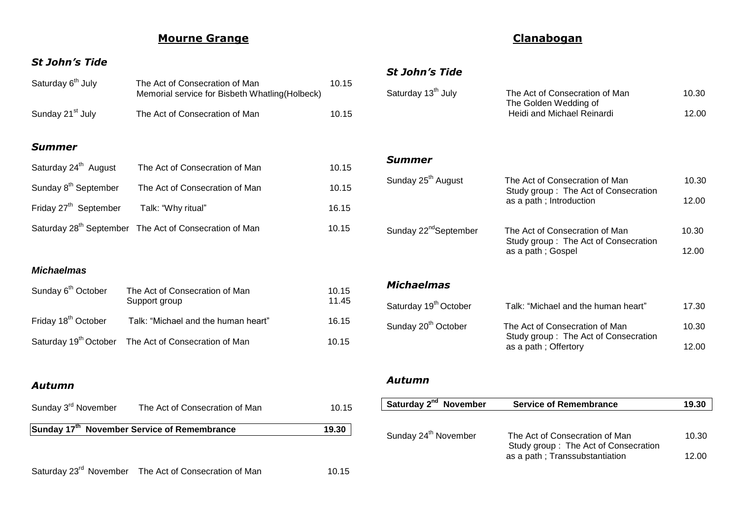# **Mourne Grange**

### *St John's Tide*

| Saturday 6 <sup>th</sup> July     | The Act of Consecration of Man<br>Memorial service for Bisbeth Whatling (Holbeck) | 10.15 |
|-----------------------------------|-----------------------------------------------------------------------------------|-------|
| Sunday 21 <sup>st</sup> July      | The Act of Consecration of Man                                                    | 10.15 |
| <b>Summer</b>                     |                                                                                   |       |
| Saturday 24 <sup>th</sup> August  | The Act of Consecration of Man                                                    | 10.15 |
| Sunday 8 <sup>th</sup> September  | The Act of Consecration of Man                                                    | 10.15 |
| Friday 27 <sup>th</sup> September | Talk: "Why ritual"                                                                | 16.15 |
|                                   | Saturday 28 <sup>th</sup> September The Act of Consecration of Man                | 10.15 |
|                                   |                                                                                   |       |

#### *Michaelmas*

| Sunday 6 <sup>th</sup> October  | The Act of Consecration of Man<br>Support group                  | 10.15<br>11.45 |
|---------------------------------|------------------------------------------------------------------|----------------|
| Friday 18 <sup>th</sup> October | Talk: "Michael and the human heart"                              | 16.15          |
|                                 | Saturday 19 <sup>th</sup> October The Act of Consecration of Man | 10.15          |

#### *Autumn*

| Sunday 3 <sup>rd</sup> November                         | The Act of Consecration of Man | 10.15 |
|---------------------------------------------------------|--------------------------------|-------|
| Sunday 17 <sup>th</sup> November Service of Remembrance | 19.30                          |       |
|                                                         |                                |       |

Saturday 23<sup>rd</sup> November The Act of Consecration of Man 10.15

# **Clanabogan**

### *St John's Tide*

| Saturday 13 <sup>th</sup> July    | The Act of Consecration of Man<br>The Golden Wedding of<br>Heidi and Michael Reinardi | 10.30<br>12.00 |
|-----------------------------------|---------------------------------------------------------------------------------------|----------------|
|                                   |                                                                                       |                |
| Summer                            |                                                                                       |                |
| Sunday 25 <sup>th</sup> August    | The Act of Consecration of Man                                                        | 10.30          |
|                                   | Study group: The Act of Consecration<br>as a path; Introduction                       | 12.00          |
| Sunday 22 <sup>nd</sup> September | The Act of Consecration of Man                                                        | 10.30          |
|                                   | Study group: The Act of Consecration<br>as a path; Gospel                             | 12.00          |
| <b>Michaelmas</b>                 |                                                                                       |                |
| Saturday 19 <sup>th</sup> October | Talk: "Michael and the human heart"                                                   | 17.30          |
| Sunday 20 <sup>th</sup> October   | The Act of Consecration of Man<br>Study group: The Act of Consecration                | 10.30          |
|                                   | as a path; Offertory                                                                  | 12.00          |

## *Autumn*

| Saturday 2 <sup>nd</sup> November | <b>Service of Remembrance</b>                                          | 19.30 |
|-----------------------------------|------------------------------------------------------------------------|-------|
|                                   |                                                                        |       |
| Sunday 24 <sup>th</sup> November  | The Act of Consecration of Man<br>Study group: The Act of Consecration | 10.30 |
|                                   | as a path; Transsubstantiation                                         | 12.00 |